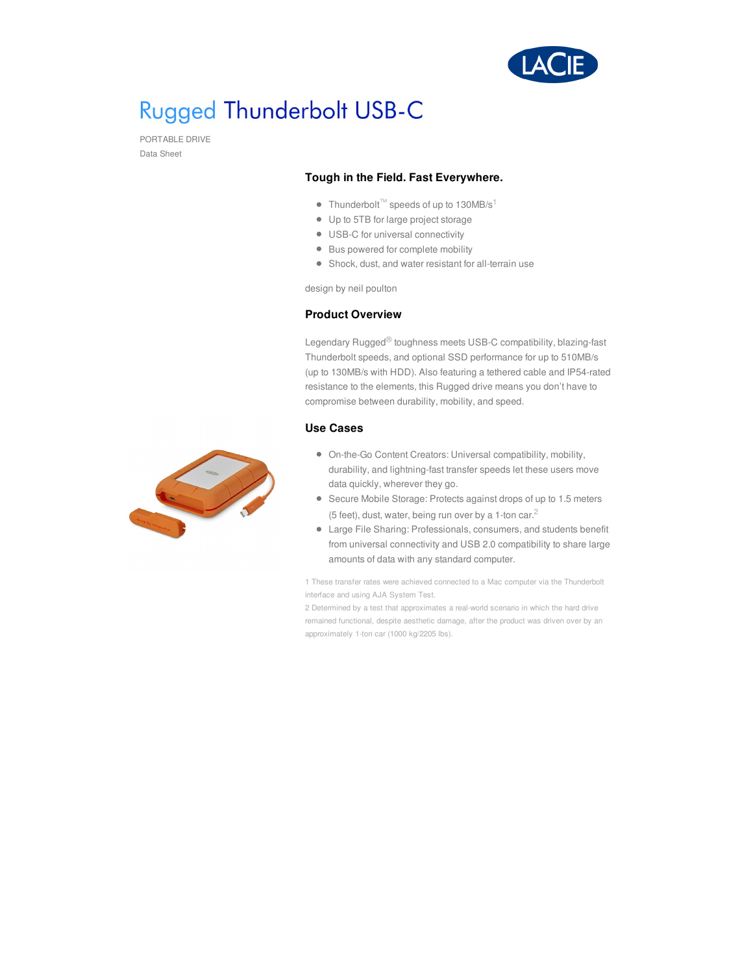

# **Rugged Thunderbolt USB-C**

PORTABLE DRIVE Data Sheet

#### **Tough in the Field. Fast Everywhere.**

- Thunderbolt<sup>™</sup> speeds of up to 130MB/s<sup>1</sup>
- Up to 5TB for large project storage
- USB-C for universal connectivity
- Bus powered for complete mobility
- Shock, dust, and water resistant for all-terrain use

design by neil poulton

#### **Product Overview**

Legendary Rugged® toughness meets USB-C compatibility, blazing-fast Thunderbolt speeds, and optional SSD performance for up to 510MB/s (up to 130MB/s with HDD). Also featuring a tethered cable and IP54-rated resistance to the elements, this Rugged drive means you don't have to compromise between durability, mobility, and speed.

### **Use Cases**

- On-the-Go Content Creators: Universal compatibility, mobility, durability, and lightning-fast transfer speeds let these users move data quickly, wherever they go.
- Secure Mobile Storage: Protects against drops of up to 1.5 meters (5 feet), dust, water, being run over by a 1-ton car. $^2$
- Large File Sharing: Professionals, consumers, and students benefit from universal connectivity and USB 2.0 compatibility to share large amounts of data with any standard computer.

1 These transfer rates were achieved connected to a Mac computer via the Thunderbolt interface and using AJA System Test.

2 Determined by a test that approximates a real-world scenario in which the hard drive remained functional, despite aesthetic damage, after the product was driven over by an approximately 1-ton car (1000 kg/2205 lbs).